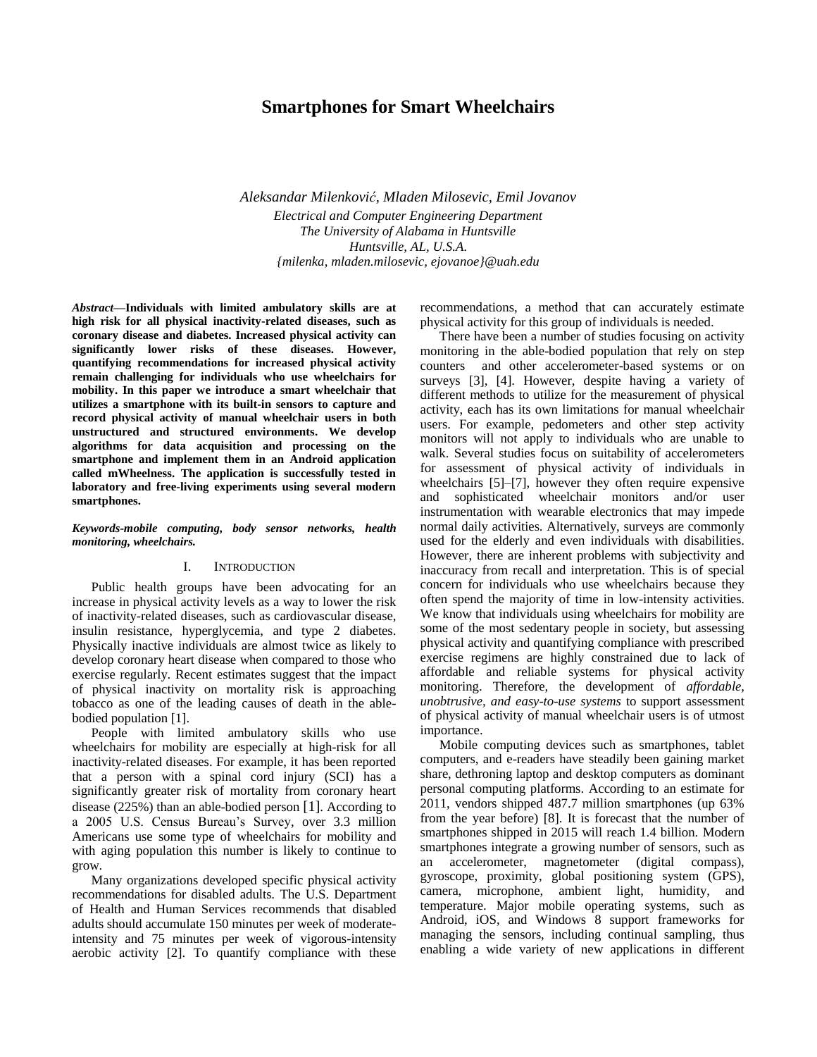# **Smartphones for Smart Wheelchairs**

*Aleksandar Milenković, Mladen Milosevic, Emil Jovanov Electrical and Computer Engineering Department The University of Alabama in Huntsville Huntsville, AL, U.S.A. {milenka, mladen.milosevic, ejovanoe}@uah.edu*

*Abstract***—Individuals with limited ambulatory skills are at high risk for all physical inactivity-related diseases, such as coronary disease and diabetes. Increased physical activity can significantly lower risks of these diseases. However, quantifying recommendations for increased physical activity remain challenging for individuals who use wheelchairs for mobility. In this paper we introduce a smart wheelchair that utilizes a smartphone with its built-in sensors to capture and record physical activity of manual wheelchair users in both unstructured and structured environments. We develop algorithms for data acquisition and processing on the smartphone and implement them in an Android application called mWheelness. The application is successfully tested in laboratory and free-living experiments using several modern smartphones.** 

#### *Keywords-mobile computing, body sensor networks, health monitoring, wheelchairs.*

## I. INTRODUCTION

Public health groups have been advocating for an increase in physical activity levels as a way to lower the risk of inactivity-related diseases, such as cardiovascular disease, insulin resistance, hyperglycemia, and type 2 diabetes. Physically inactive individuals are almost twice as likely to develop coronary heart disease when compared to those who exercise regularly. Recent estimates suggest that the impact of physical inactivity on mortality risk is approaching tobacco as one of the leading causes of death in the ablebodied population [1].

People with limited ambulatory skills who use wheelchairs for mobility are especially at high-risk for all inactivity-related diseases. For example, it has been reported that a person with a spinal cord injury (SCI) has a significantly greater risk of mortality from coronary heart disease (225%) than an able-bodied person [1]. According to a 2005 U.S. Census Bureau's Survey, over 3.3 million Americans use some type of wheelchairs for mobility and with aging population this number is likely to continue to grow.

Many organizations developed specific physical activity recommendations for disabled adults. The U.S. Department of Health and Human Services recommends that disabled adults should accumulate 150 minutes per week of moderateintensity and 75 minutes per week of vigorous-intensity aerobic activity [2]. To quantify compliance with these

recommendations, a method that can accurately estimate physical activity for this group of individuals is needed.

There have been a number of studies focusing on activity monitoring in the able-bodied population that rely on step counters and other accelerometer-based systems or on surveys [3], [4]. However, despite having a variety of different methods to utilize for the measurement of physical activity, each has its own limitations for manual wheelchair users. For example, pedometers and other step activity monitors will not apply to individuals who are unable to walk. Several studies focus on suitability of accelerometers for assessment of physical activity of individuals in wheelchairs [5]–[7], however they often require expensive and sophisticated wheelchair monitors and/or user instrumentation with wearable electronics that may impede normal daily activities. Alternatively, surveys are commonly used for the elderly and even individuals with disabilities. However, there are inherent problems with subjectivity and inaccuracy from recall and interpretation. This is of special concern for individuals who use wheelchairs because they often spend the majority of time in low-intensity activities. We know that individuals using wheelchairs for mobility are some of the most sedentary people in society, but assessing physical activity and quantifying compliance with prescribed exercise regimens are highly constrained due to lack of affordable and reliable systems for physical activity monitoring. Therefore, the development of *affordable, unobtrusive, and easy-to-use systems* to support assessment of physical activity of manual wheelchair users is of utmost importance.

Mobile computing devices such as smartphones, tablet computers, and e-readers have steadily been gaining market share, dethroning laptop and desktop computers as dominant personal computing platforms. According to an estimate for 2011, vendors shipped 487.7 million smartphones (up 63% from the year before) [8]. It is forecast that the number of smartphones shipped in 2015 will reach 1.4 billion. Modern smartphones integrate a growing number of sensors, such as an accelerometer, magnetometer (digital compass), gyroscope, proximity, global positioning system (GPS), camera, microphone, ambient light, humidity, and temperature. Major mobile operating systems, such as Android, iOS, and Windows 8 support frameworks for managing the sensors, including continual sampling, thus enabling a wide variety of new applications in different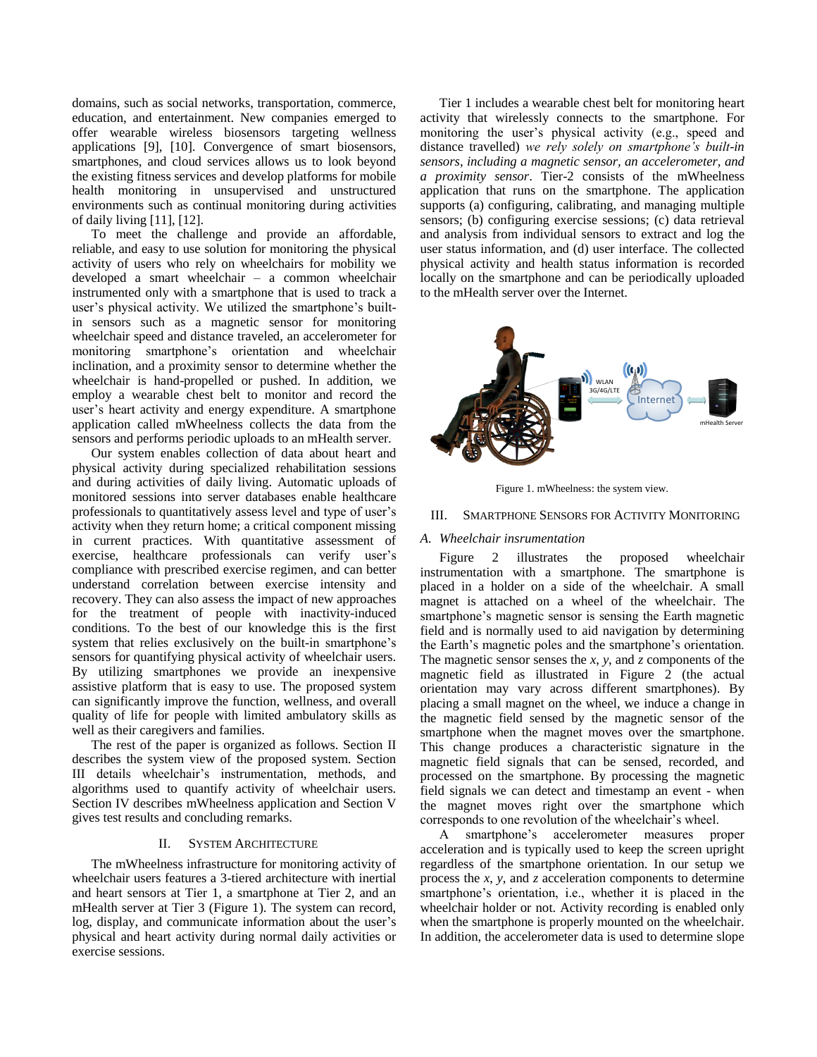domains, such as social networks, transportation, commerce, education, and entertainment. New companies emerged to offer wearable wireless biosensors targeting wellness applications [9], [10]. Convergence of smart biosensors, smartphones, and cloud services allows us to look beyond the existing fitness services and develop platforms for mobile health monitoring in unsupervised and unstructured environments such as continual monitoring during activities of daily living [11], [12].

To meet the challenge and provide an affordable, reliable, and easy to use solution for monitoring the physical activity of users who rely on wheelchairs for mobility we developed a smart wheelchair – a common wheelchair instrumented only with a smartphone that is used to track a user's physical activity. We utilized the smartphone's builtin sensors such as a magnetic sensor for monitoring wheelchair speed and distance traveled, an accelerometer for monitoring smartphone's orientation and wheelchair inclination, and a proximity sensor to determine whether the wheelchair is hand-propelled or pushed. In addition, we employ a wearable chest belt to monitor and record the user's heart activity and energy expenditure. A smartphone application called mWheelness collects the data from the sensors and performs periodic uploads to an mHealth server.

Our system enables collection of data about heart and physical activity during specialized rehabilitation sessions and during activities of daily living. Automatic uploads of monitored sessions into server databases enable healthcare professionals to quantitatively assess level and type of user's activity when they return home; a critical component missing in current practices. With quantitative assessment of exercise, healthcare professionals can verify user's compliance with prescribed exercise regimen, and can better understand correlation between exercise intensity and recovery. They can also assess the impact of new approaches for the treatment of people with inactivity-induced conditions. To the best of our knowledge this is the first system that relies exclusively on the built-in smartphone's sensors for quantifying physical activity of wheelchair users. By utilizing smartphones we provide an inexpensive assistive platform that is easy to use. The proposed system can significantly improve the function, wellness, and overall quality of life for people with limited ambulatory skills as well as their caregivers and families.

The rest of the paper is organized as follows. Section II describes the system view of the proposed system. Section III details wheelchair's instrumentation, methods, and algorithms used to quantify activity of wheelchair users. Section IV describes mWheelness application and Section V gives test results and concluding remarks.

## II. SYSTEM ARCHITECTURE

The mWheelness infrastructure for monitoring activity of wheelchair users features a 3-tiered architecture with inertial and heart sensors at Tier 1, a smartphone at Tier 2, and an mHealth server at Tier 3 [\(Figure 1\)](#page-1-0). The system can record, log, display, and communicate information about the user's physical and heart activity during normal daily activities or exercise sessions.

Tier 1 includes a wearable chest belt for monitoring heart activity that wirelessly connects to the smartphone. For monitoring the user's physical activity (e.g., speed and distance travelled) *we rely solely on smartphone's built-in sensors, including a magnetic sensor, an accelerometer, and a proximity sensor*. Tier-2 consists of the mWheelness application that runs on the smartphone. The application supports (a) configuring, calibrating, and managing multiple sensors; (b) configuring exercise sessions; (c) data retrieval and analysis from individual sensors to extract and log the user status information, and (d) user interface. The collected physical activity and health status information is recorded locally on the smartphone and can be periodically uploaded to the mHealth server over the Internet.



Figure 1. mWheelness: the system view.

# <span id="page-1-0"></span>III. SMARTPHONE SENSORS FOR ACTIVITY MONITORING

# *A. Wheelchair insrumentation*

[Figure 2](#page-2-0) illustrates the proposed wheelchair instrumentation with a smartphone. The smartphone is placed in a holder on a side of the wheelchair. A small magnet is attached on a wheel of the wheelchair. The smartphone's magnetic sensor is sensing the Earth magnetic field and is normally used to aid navigation by determining the Earth's magnetic poles and the smartphone's orientation. The magnetic sensor senses the *x*, *y*, and  $\overline{z}$  components of the magnetic field as illustrated in [Figure 2](#page-2-0) (the actual orientation may vary across different smartphones). By placing a small magnet on the wheel, we induce a change in the magnetic field sensed by the magnetic sensor of the smartphone when the magnet moves over the smartphone. This change produces a characteristic signature in the magnetic field signals that can be sensed, recorded, and processed on the smartphone. By processing the magnetic field signals we can detect and timestamp an event - when the magnet moves right over the smartphone which corresponds to one revolution of the wheelchair's wheel.

A smartphone's accelerometer measures proper acceleration and is typically used to keep the screen upright regardless of the smartphone orientation. In our setup we process the *x*, *y*, and *z* acceleration components to determine smartphone's orientation, i.e., whether it is placed in the wheelchair holder or not. Activity recording is enabled only when the smartphone is properly mounted on the wheelchair. In addition, the accelerometer data is used to determine slope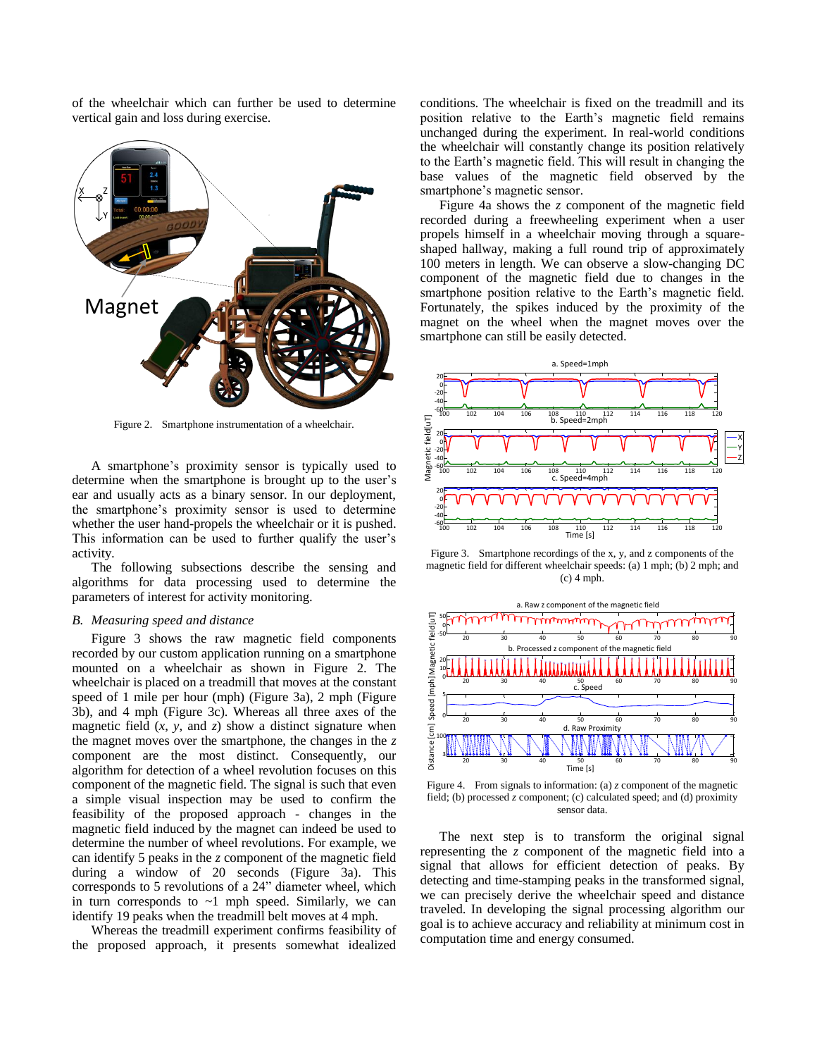of the wheelchair which can further be used to determine vertical gain and loss during exercise.



<span id="page-2-0"></span>Figure 2. Smartphone instrumentation of a wheelchair.

A smartphone's proximity sensor is typically used to determine when the smartphone is brought up to the user's ear and usually acts as a binary sensor. In our deployment, the smartphone's proximity sensor is used to determine whether the user hand-propels the wheelchair or it is pushed. This information can be used to further qualify the user's activity.

The following subsections describe the sensing and algorithms for data processing used to determine the parameters of interest for activity monitoring.

#### *B. Measuring speed and distance*

[Figure 3](#page-2-1) shows the raw magnetic field components recorded by our custom application running on a smartphone mounted on a wheelchair as shown in [Figure 2.](#page-2-0) The wheelchair is placed on a treadmill that moves at the constant speed of 1 mile per hour (mph) [\(Figure 3a](#page-2-1)), 2 mph [\(Figure](#page-2-1)  [3b](#page-2-1)), and 4 mph [\(Figure 3c](#page-2-1)). Whereas all three axes of the magnetic field  $(x, y, \text{ and } z)$  show a distinct signature when the magnet moves over the smartphone, the changes in the *z* component are the most distinct. Consequently, our algorithm for detection of a wheel revolution focuses on this component of the magnetic field. The signal is such that even a simple visual inspection may be used to confirm the feasibility of the proposed approach - changes in the magnetic field induced by the magnet can indeed be used to determine the number of wheel revolutions. For example, we can identify 5 peaks in the *z* component of the magnetic field during a window of 20 seconds [\(Figure 3a](#page-2-1)). This corresponds to 5 revolutions of a 24" diameter wheel, which in turn corresponds to  $\sim$ 1 mph speed. Similarly, we can identify 19 peaks when the treadmill belt moves at 4 mph.

Whereas the treadmill experiment confirms feasibility of the proposed approach, it presents somewhat idealized

conditions. The wheelchair is fixed on the treadmill and its position relative to the Earth's magnetic field remains unchanged during the experiment. In real-world conditions the wheelchair will constantly change its position relatively to the Earth's magnetic field. This will result in changing the base values of the magnetic field observed by the smartphone's magnetic sensor.

[Figure 4a](#page-2-2) shows the *z* component of the magnetic field recorded during a freewheeling experiment when a user propels himself in a wheelchair moving through a squareshaped hallway, making a full round trip of approximately 100 meters in length. We can observe a slow-changing DC component of the magnetic field due to changes in the smartphone position relative to the Earth's magnetic field. Fortunately, the spikes induced by the proximity of the magnet on the wheel when the magnet moves over the smartphone can still be easily detected.



<span id="page-2-1"></span>Figure 3. Smartphone recordings of the x, y, and z components of the magnetic field for different wheelchair speeds: (a) 1 mph; (b) 2 mph; and (c) 4 mph.



<span id="page-2-2"></span>Figure 4. From signals to information: (a) *z* component of the magnetic field; (b) processed *z* component; (c) calculated speed; and (d) proximity sensor data.

The next step is to transform the original signal representing the *z* component of the magnetic field into a signal that allows for efficient detection of peaks. By detecting and time-stamping peaks in the transformed signal, we can precisely derive the wheelchair speed and distance traveled. In developing the signal processing algorithm our goal is to achieve accuracy and reliability at minimum cost in computation time and energy consumed.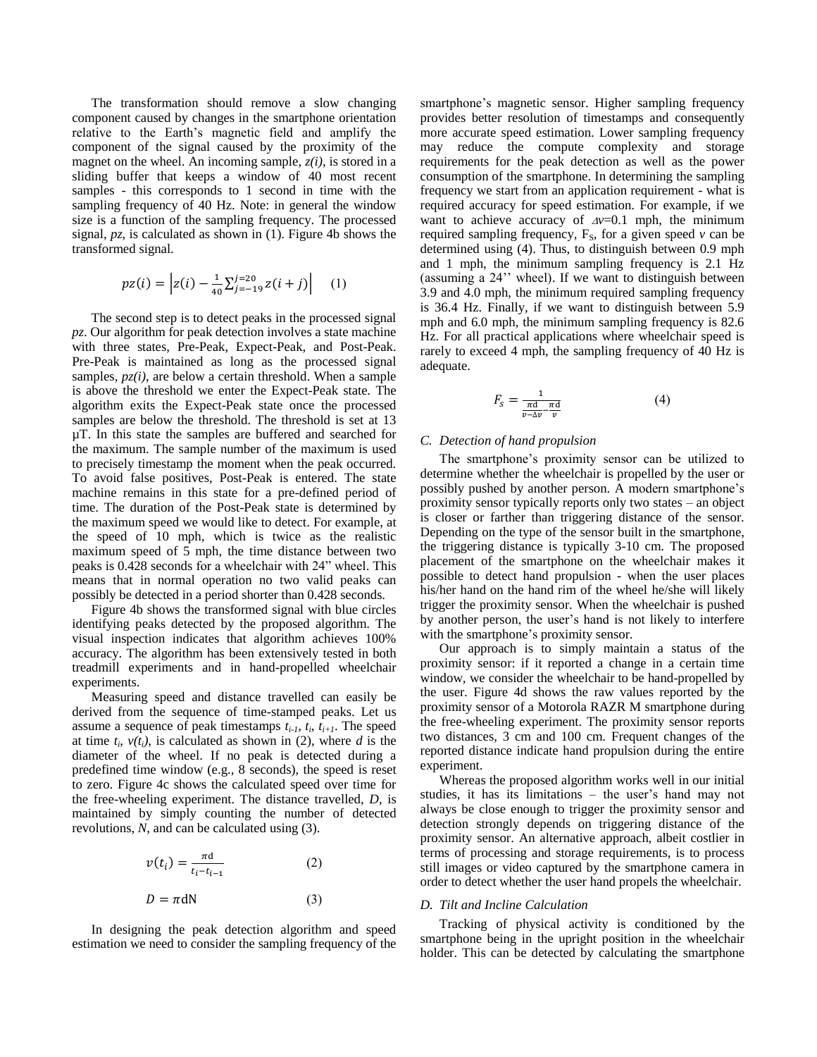The transformation should remove a slow changing component caused by changes in the smartphone orientation relative to the Earth's magnetic field and amplify the component of the signal caused by the proximity of the magnet on the wheel. An incoming sample,  $z(i)$ , is stored in a sliding buffer that keeps a window of 40 most recent samples - this corresponds to 1 second in time with the sampling frequency of 40 Hz. Note: in general the window size is a function of the sampling frequency. The processed signal, *pz*, is calculated as shown in (1). [Figure 4b](#page-2-2) shows the transformed signal.

$$
pz(i) = \left| z(i) - \frac{1}{40} \sum_{j=-19}^{j=20} z(i+j) \right| \tag{1}
$$

The second step is to detect peaks in the processed signal *pz*. Our algorithm for peak detection involves a state machine with three states, Pre-Peak, Expect-Peak, and Post-Peak. Pre-Peak is maintained as long as the processed signal samples,  $pz(i)$ , are below a certain threshold. When a sample is above the threshold we enter the Expect-Peak state. The algorithm exits the Expect-Peak state once the processed samples are below the threshold. The threshold is set at 13 µT. In this state the samples are buffered and searched for the maximum. The sample number of the maximum is used to precisely timestamp the moment when the peak occurred. To avoid false positives, Post-Peak is entered. The state machine remains in this state for a pre-defined period of time. The duration of the Post-Peak state is determined by the maximum speed we would like to detect. For example, at the speed of 10 mph, which is twice as the realistic maximum speed of 5 mph, the time distance between two peaks is 0.428 seconds for a wheelchair with 24" wheel. This means that in normal operation no two valid peaks can possibly be detected in a period shorter than 0.428 seconds.

[Figure 4b](#page-2-2) shows the transformed signal with blue circles identifying peaks detected by the proposed algorithm. The visual inspection indicates that algorithm achieves 100% accuracy. The algorithm has been extensively tested in both treadmill experiments and in hand-propelled wheelchair experiments.

Measuring speed and distance travelled can easily be derived from the sequence of time-stamped peaks. Let us assume a sequence of peak timestamps  $t_{i-1}$ ,  $t_i$ ,  $t_{i+1}$ . The speed at time  $t_i$ ,  $v(t_i)$ , is calculated as shown in (2), where *d* is the diameter of the wheel. If no peak is detected during a predefined time window (e.g., 8 seconds), the speed is reset to zero. [Figure 4c](#page-2-2) shows the calculated speed over time for the free-wheeling experiment. The distance travelled, *D*, is maintained by simply counting the number of detected revolutions, *N*, and can be calculated using (3).

$$
v(t_i) = \frac{\pi d}{t_i - t_{i-1}}
$$
 (2)  

$$
D = \pi dN
$$
 (3)

In designing the peak detection algorithm and speed estimation we need to consider the sampling frequency of the smartphone's magnetic sensor. Higher sampling frequency provides better resolution of timestamps and consequently more accurate speed estimation. Lower sampling frequency may reduce the compute complexity and storage requirements for the peak detection as well as the power consumption of the smartphone. In determining the sampling frequency we start from an application requirement - what is required accuracy for speed estimation. For example, if we want to achieve accuracy of  $\Delta v=0.1$  mph, the minimum required sampling frequency,  $F_s$ , for a given speed  $\nu$  can be determined using (4). Thus, to distinguish between 0.9 mph and 1 mph, the minimum sampling frequency is 2.1 Hz (assuming a 24'' wheel). If we want to distinguish between 3.9 and 4.0 mph, the minimum required sampling frequency is 36.4 Hz. Finally, if we want to distinguish between 5.9 mph and 6.0 mph, the minimum sampling frequency is 82.6 Hz. For all practical applications where wheelchair speed is rarely to exceed 4 mph, the sampling frequency of 40 Hz is adequate.

$$
F_s = \frac{1}{\frac{\pi d}{v - \Delta v} - \frac{\pi d}{v}}\tag{4}
$$

# *C. Detection of hand propulsion*

The smartphone's proximity sensor can be utilized to determine whether the wheelchair is propelled by the user or possibly pushed by another person. A modern smartphone's proximity sensor typically reports only two states – an object is closer or farther than triggering distance of the sensor. Depending on the type of the sensor built in the smartphone, the triggering distance is typically 3-10 cm. The proposed placement of the smartphone on the wheelchair makes it possible to detect hand propulsion - when the user places his/her hand on the hand rim of the wheel he/she will likely trigger the proximity sensor. When the wheelchair is pushed by another person, the user's hand is not likely to interfere with the smartphone's proximity sensor.

Our approach is to simply maintain a status of the proximity sensor: if it reported a change in a certain time window, we consider the wheelchair to be hand-propelled by the user. [Figure 4d](#page-2-2) shows the raw values reported by the proximity sensor of a Motorola RAZR M smartphone during the free-wheeling experiment. The proximity sensor reports two distances, 3 cm and 100 cm. Frequent changes of the reported distance indicate hand propulsion during the entire experiment.

Whereas the proposed algorithm works well in our initial studies, it has its limitations – the user's hand may not always be close enough to trigger the proximity sensor and detection strongly depends on triggering distance of the proximity sensor. An alternative approach, albeit costlier in terms of processing and storage requirements, is to process still images or video captured by the smartphone camera in order to detect whether the user hand propels the wheelchair.

#### *D. Tilt and Incline Calculation*

Tracking of physical activity is conditioned by the smartphone being in the upright position in the wheelchair holder. This can be detected by calculating the smartphone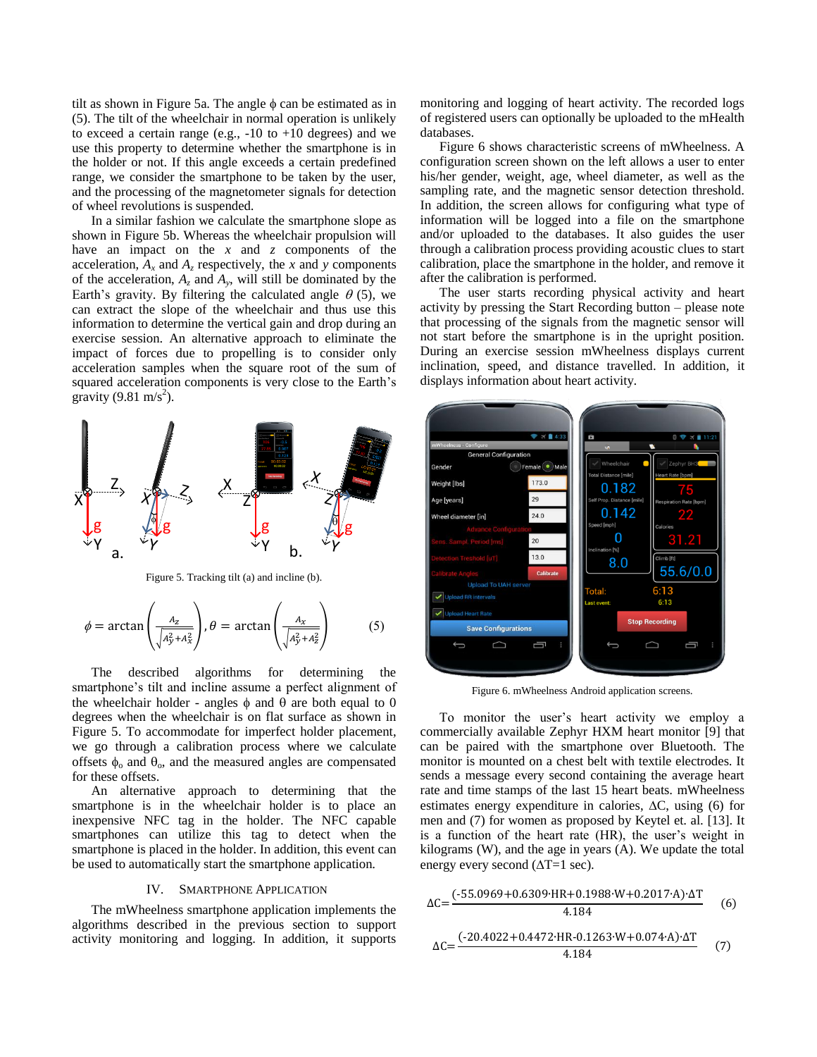tilt as shown in [Figure 5a](#page-4-0). The angle  $\phi$  can be estimated as in (5). The tilt of the wheelchair in normal operation is unlikely to exceed a certain range (e.g.,  $-10$  to  $+10$  degrees) and we use this property to determine whether the smartphone is in the holder or not. If this angle exceeds a certain predefined range, we consider the smartphone to be taken by the user, and the processing of the magnetometer signals for detection of wheel revolutions is suspended.

In a similar fashion we calculate the smartphone slope as shown in [Figure 5b](#page-4-0). Whereas the wheelchair propulsion will have an impact on the *x* and *z* components of the acceleration,  $A_x$  and  $A_z$  respectively, the *x* and *y* components of the acceleration,  $A_z$  and  $A_y$ , will still be dominated by the Earth's gravity. By filtering the calculated angle  $\theta$  (5), we can extract the slope of the wheelchair and thus use this information to determine the vertical gain and drop during an exercise session. An alternative approach to eliminate the impact of forces due to propelling is to consider only acceleration samples when the square root of the sum of squared acceleration components is very close to the Earth's gravity (9.81 m/s<sup>2</sup>).



Figure 5. Tracking tilt (a) and incline (b).

<span id="page-4-0"></span>
$$
\phi = \arctan\left(\frac{A_z}{\sqrt{A_y^2 + A_x^2}}\right), \theta = \arctan\left(\frac{A_x}{\sqrt{A_y^2 + A_z^2}}\right) \tag{5}
$$

The described algorithms for determining the smartphone's tilt and incline assume a perfect alignment of the wheelchair holder - angles  $\phi$  and  $\theta$  are both equal to 0 degrees when the wheelchair is on flat surface as shown in [Figure 5.](#page-4-0) To accommodate for imperfect holder placement, we go through a calibration process where we calculate offsets  $\phi_0$  and  $\theta_0$ , and the measured angles are compensated for these offsets.

An alternative approach to determining that the smartphone is in the wheelchair holder is to place an inexpensive NFC tag in the holder. The NFC capable smartphones can utilize this tag to detect when the smartphone is placed in the holder. In addition, this event can be used to automatically start the smartphone application.

#### IV. SMARTPHONE APPLICATION

The mWheelness smartphone application implements the algorithms described in the previous section to support activity monitoring and logging. In addition, it supports monitoring and logging of heart activity. The recorded logs of registered users can optionally be uploaded to the mHealth databases.

[Figure 6](#page-4-1) shows characteristic screens of mWheelness. A configuration screen shown on the left allows a user to enter his/her gender, weight, age, wheel diameter, as well as the sampling rate, and the magnetic sensor detection threshold. In addition, the screen allows for configuring what type of information will be logged into a file on the smartphone and/or uploaded to the databases. It also guides the user through a calibration process providing acoustic clues to start calibration, place the smartphone in the holder, and remove it after the calibration is performed.

The user starts recording physical activity and heart activity by pressing the Start Recording button – please note that processing of the signals from the magnetic sensor will not start before the smartphone is in the upright position. During an exercise session mWheelness displays current inclination, speed, and distance travelled. In addition, it displays information about heart activity.



Figure 6. mWheelness Android application screens.

<span id="page-4-1"></span>To monitor the user's heart activity we employ a commercially available Zephyr HXM heart monitor [9] that can be paired with the smartphone over Bluetooth. The monitor is mounted on a chest belt with textile electrodes. It sends a message every second containing the average heart rate and time stamps of the last 15 heart beats. mWheelness estimates energy expenditure in calories,  $\Delta C$ , using (6) for men and (7) for women as proposed by Keytel et. al. [13]. It is a function of the heart rate (HR), the user's weight in kilograms (W), and the age in years (A). We update the total energy every second  $(\Delta T=1 \text{ sec})$ .

$$
\Delta C = \frac{(-55.0969 + 0.6309 \cdot HR + 0.1988 \cdot W + 0.2017 \cdot A) \cdot \Delta T}{4.184}
$$
 (6)

$$
\Delta C = \frac{(20.1022 + 0.1472 \text{ m})(0.1283 \text{ W} + 0.074 \text{ K})}{4.184} \tag{7}
$$